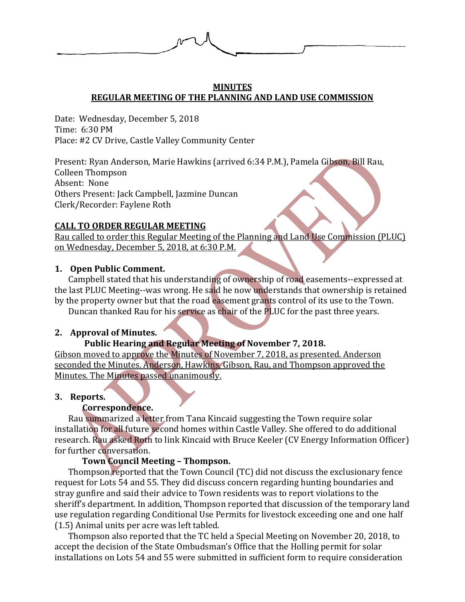

### **MINUTES REGULAR MEETING OF THE PLANNING AND LAND USE COMMISSION**

Date: Wednesday, December 5, 2018 Time: 6:30 PM Place: #2 CV Drive, Castle Valley Community Center

Present: Ryan Anderson, Marie Hawkins (arrived 6:34 P.M.), Pamela Gibson, Bill Rau, Colleen Thompson Absent: None Others Present: Jack Campbell, Jazmine Duncan Clerk/Recorder: Faylene Roth

# **CALL TO ORDER REGULAR MEETING**

Rau called to order this Regular Meeting of the Planning and Land Use Commission (PLUC) on Wednesday, December 5, 2018, at 6:30 P.M.

# **1. Open Public Comment.**

Campbell stated that his understanding of ownership of road easements--expressed at the last PLUC Meeting--was wrong. He said he now understands that ownership is retained by the property owner but that the road easement grants control of its use to the Town.

Duncan thanked Rau for his service as chair of the PLUC for the past three years.

# **2. Approval of Minutes.**

# **Public Hearing and Regular Meeting of November 7, 2018.**

Gibson moved to approve the Minutes of November 7, 2018, as presented. Anderson seconded the Minutes. Anderson, Hawkins, Gibson, Rau, and Thompson approved the Minutes. The Minutes passed unanimously.

# **3. Reports.**

# **Correspondence.**

Rau summarized a letter from Tana Kincaid suggesting the Town require solar installation for all future second homes within Castle Valley. She offered to do additional research. Rau asked Roth to link Kincaid with Bruce Keeler (CV Energy Information Officer) for further conversation.

# **Town Council Meeting – Thompson.**

Thompson reported that the Town Council (TC) did not discuss the exclusionary fence request for Lots 54 and 55. They did discuss concern regarding hunting boundaries and stray gunfire and said their advice to Town residents was to report violations to the sheriff's department. In addition, Thompson reported that discussion of the temporary land use regulation regarding Conditional Use Permits for livestock exceeding one and one half (1.5) Animal units per acre was left tabled.

Thompson also reported that the TC held a Special Meeting on November 20, 2018, to accept the decision of the State Ombudsman's Office that the Holling permit for solar installations on Lots 54 and 55 were submitted in sufficient form to require consideration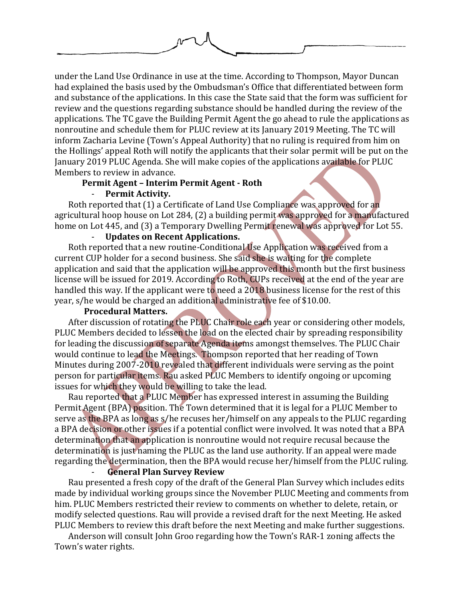under the Land Use Ordinance in use at the time. According to Thompson, Mayor Duncan had explained the basis used by the Ombudsman's Office that differentiated between form and substance of the applications. In this case the State said that the form was sufficient for review and the questions regarding substance should be handled during the review of the applications. The TC gave the Building Permit Agent the go ahead to rule the applications as nonroutine and schedule them for PLUC review at its January 2019 Meeting. The TC will inform Zacharia Levine (Town's Appeal Authority) that no ruling is required from him on the Hollings' appeal Roth will notify the applicants that their solar permit will be put on the January 2019 PLUC Agenda. She will make copies of the applications available for PLUC

Members to review in advance.

#### **Permit Agent – Interim Permit Agent - Roth**

### - **Permit Activity.**

Roth reported that (1) a Certificate of Land Use Compliance was approved for an agricultural hoop house on Lot 284, (2) a building permit was approved for a manufactured home on Lot 445, and (3) a Temporary Dwelling Permit renewal was approved for Lot 55.

## - **Updates on Recent Applications.**

Roth reported that a new routine-Conditional Use Application was received from a current CUP holder for a second business. She said she is waiting for the complete application and said that the application will be approved this month but the first business license will be issued for 2019. According to Roth, CUPs received at the end of the year are handled this way. If the applicant were to need a 2018 business license for the rest of this year, s/he would be charged an additional administrative fee of \$10.00.

#### **Procedural Matters.**

After discussion of rotating the PLUC Chair role each year or considering other models, PLUC Members decided to lessen the load on the elected chair by spreading responsibility for leading the discussion of separate Agenda items amongst themselves. The PLUC Chair would continue to lead the Meetings. Thompson reported that her reading of Town Minutes during 2007-2010 revealed that different individuals were serving as the point person for particular items. Rau asked PLUC Members to identify ongoing or upcoming issues for which they would be willing to take the lead.

Rau reported that a PLUC Member has expressed interest in assuming the Building Permit Agent (BPA) position. The Town determined that it is legal for a PLUC Member to serve as the BPA as long as s/he recuses her/himself on any appeals to the PLUC regarding a BPA decision or other issues if a potential conflict were involved. It was noted that a BPA determination that an application is nonroutine would not require recusal because the determination is just naming the PLUC as the land use authority. If an appeal were made regarding the determination, then the BPA would recuse her/himself from the PLUC ruling.

#### - **General Plan Survey Review**

Rau presented a fresh copy of the draft of the General Plan Survey which includes edits made by individual working groups since the November PLUC Meeting and comments from him. PLUC Members restricted their review to comments on whether to delete, retain, or modify selected questions. Rau will provide a revised draft for the next Meeting. He asked PLUC Members to review this draft before the next Meeting and make further suggestions.

Anderson will consult John Groo regarding how the Town's RAR-1 zoning affects the Town's water rights.